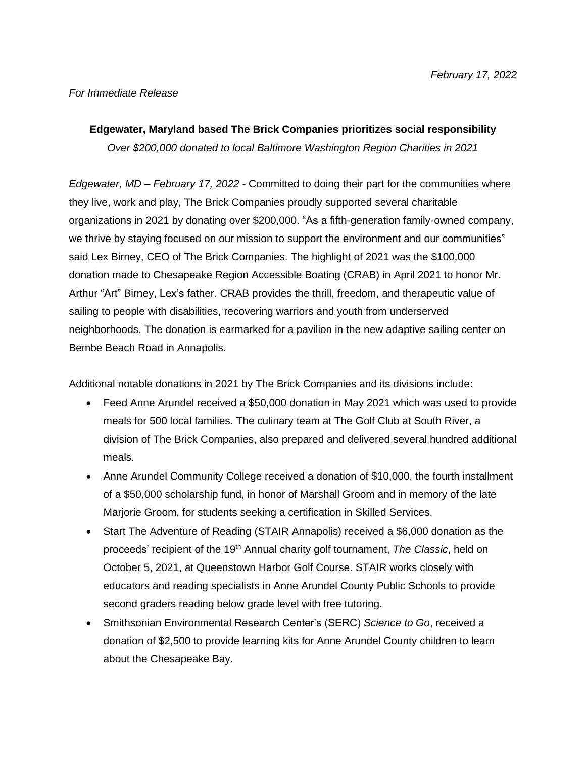## *For Immediate Release*

# **Edgewater, Maryland based The Brick Companies prioritizes social responsibility** *Over \$200,000 donated to local Baltimore Washington Region Charities in 2021*

*Edgewater, MD – February 17, 2022 -* Committed to doing their part for the communities where they live, work and play, The Brick Companies proudly supported several charitable organizations in 2021 by donating over \$200,000. "As a fifth-generation family-owned company, we thrive by staying focused on our mission to support the environment and our communities" said Lex Birney, CEO of The Brick Companies. The highlight of 2021 was the \$100,000 donation made to Chesapeake Region Accessible Boating (CRAB) in April 2021 to honor Mr. Arthur "Art" Birney, Lex's father. CRAB provides the thrill, freedom, and therapeutic value of sailing to people with disabilities, recovering warriors and youth from underserved neighborhoods. The donation is earmarked for a pavilion in the new adaptive sailing center on Bembe Beach Road in Annapolis.

Additional notable donations in 2021 by The Brick Companies and its divisions include:

- Feed Anne Arundel received a \$50,000 donation in May 2021 which was used to provide meals for 500 local families. The culinary team at The Golf Club at South River, a division of The Brick Companies, also prepared and delivered several hundred additional meals.
- Anne Arundel Community College received a donation of \$10,000, the fourth installment of a \$50,000 scholarship fund, in honor of Marshall Groom and in memory of the late Marjorie Groom, for students seeking a certification in Skilled Services.
- Start The Adventure of Reading (STAIR Annapolis) received a \$6,000 donation as the proceeds' recipient of the 19<sup>th</sup> Annual charity golf tournament, *The Classic*, held on October 5, 2021, at Queenstown Harbor Golf Course. STAIR works closely with educators and reading specialists in Anne Arundel County Public Schools to provide second graders reading below grade level with free tutoring.
- Smithsonian Environmental Research Center's (SERC) *Science to Go*, received a donation of \$2,500 to provide learning kits for Anne Arundel County children to learn about the Chesapeake Bay.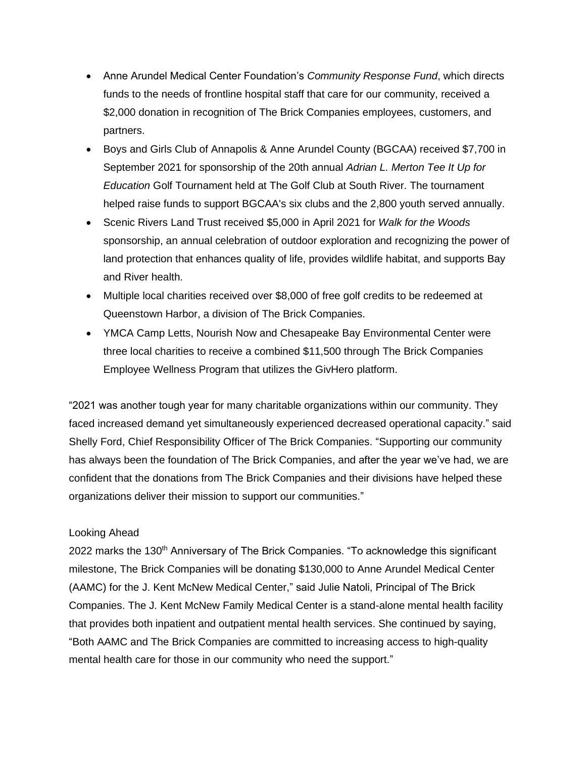- Anne Arundel Medical Center Foundation's *Community Response Fund*, which directs funds to the needs of frontline hospital staff that care for our community, received a \$2,000 donation in recognition of The Brick Companies employees, customers, and partners.
- Boys and Girls Club of Annapolis & Anne Arundel County (BGCAA) received \$7,700 in September 2021 for sponsorship of the 20th annual *Adrian L. Merton Tee It Up for Education* Golf Tournament held at The Golf Club at South River. The tournament helped raise funds to support BGCAA's six clubs and the 2,800 youth served annually.
- Scenic Rivers Land Trust received \$5,000 in April 2021 for *Walk for the Woods* sponsorship, an annual celebration of outdoor exploration and recognizing the power of land protection that enhances quality of life, provides wildlife habitat, and supports Bay and River health.
- Multiple local charities received over \$8,000 of free golf credits to be redeemed at Queenstown Harbor, a division of The Brick Companies.
- YMCA Camp Letts, Nourish Now and Chesapeake Bay Environmental Center were three local charities to receive a combined \$11,500 through The Brick Companies Employee Wellness Program that utilizes the GivHero platform.

"2021 was another tough year for many charitable organizations within our community. They faced increased demand yet simultaneously experienced decreased operational capacity." said Shelly Ford, Chief Responsibility Officer of The Brick Companies. "Supporting our community has always been the foundation of The Brick Companies, and after the year we've had, we are confident that the donations from The Brick Companies and their divisions have helped these organizations deliver their mission to support our communities."

## Looking Ahead

2022 marks the 130<sup>th</sup> Anniversary of The Brick Companies. "To acknowledge this significant milestone, The Brick Companies will be donating \$130,000 to Anne Arundel Medical Center (AAMC) for the J. Kent McNew Medical Center," said Julie Natoli, Principal of The Brick Companies. The J. Kent McNew Family Medical Center is a stand-alone mental health facility that provides both inpatient and outpatient mental health services. She continued by saying, "Both AAMC and The Brick Companies are committed to increasing access to high-quality mental health care for those in our community who need the support."